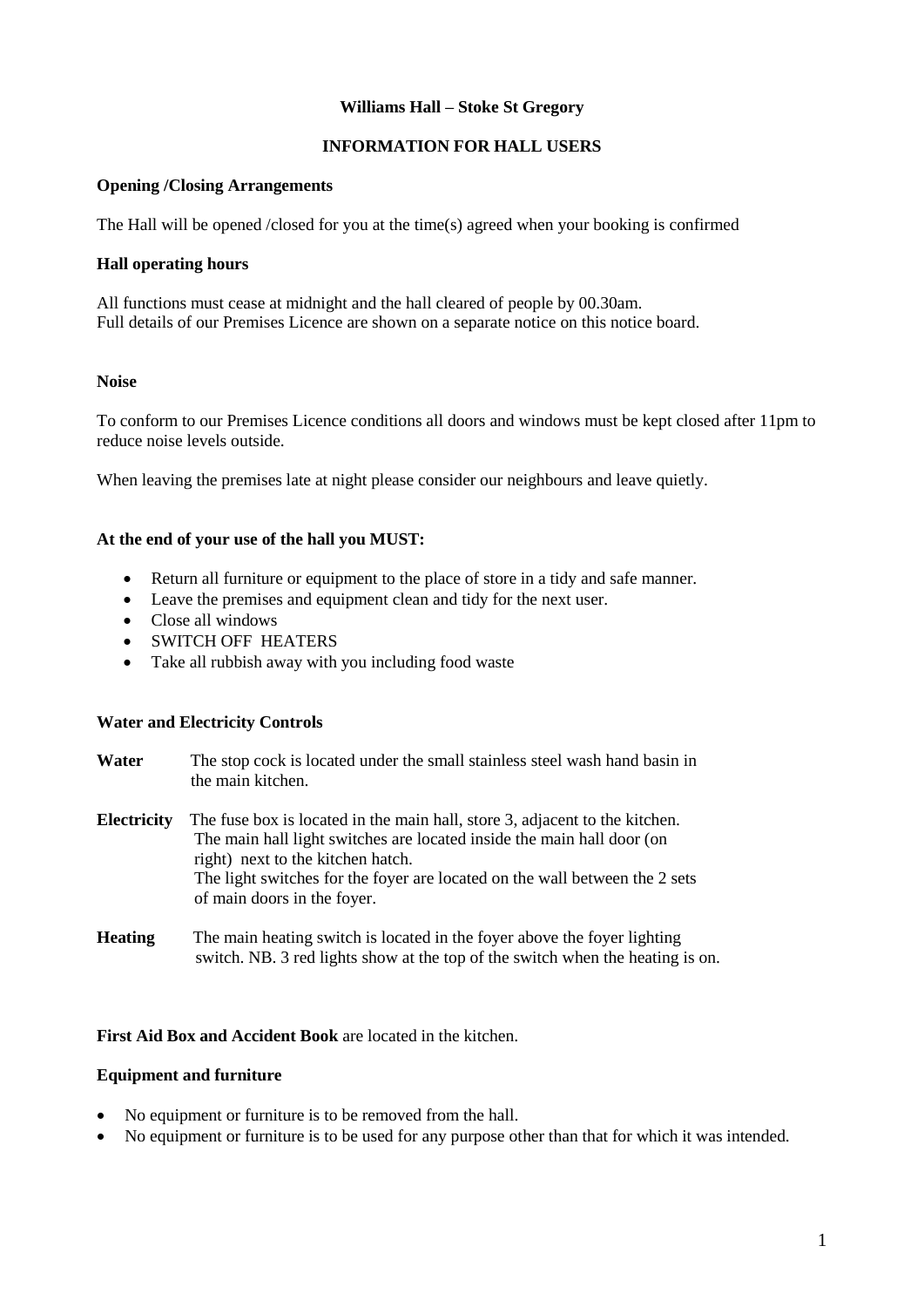# **Williams Hall – Stoke St Gregory**

# **INFORMATION FOR HALL USERS**

# **Opening /Closing Arrangements**

The Hall will be opened /closed for you at the time(s) agreed when your booking is confirmed

# **Hall operating hours**

All functions must cease at midnight and the hall cleared of people by 00.30am. Full details of our Premises Licence are shown on a separate notice on this notice board.

# **Noise**

To conform to our Premises Licence conditions all doors and windows must be kept closed after 11pm to reduce noise levels outside.

When leaving the premises late at night please consider our neighbours and leave quietly.

# **At the end of your use of the hall you MUST:**

- Return all furniture or equipment to the place of store in a tidy and safe manner.
- Leave the premises and equipment clean and tidy for the next user.
- Close all windows
- SWITCH OFF HEATERS
- Take all rubbish away with you including food waste

#### **Water and Electricity Controls**

| Water       | The stop cock is located under the small stainless steel wash hand basin in<br>the main kitchen.                                                                                                                                                                                                         |
|-------------|----------------------------------------------------------------------------------------------------------------------------------------------------------------------------------------------------------------------------------------------------------------------------------------------------------|
| Electricity | The fuse box is located in the main hall, store 3, adjacent to the kitchen.<br>The main hall light switches are located inside the main hall door (on<br>right) next to the kitchen hatch.<br>The light switches for the foyer are located on the wall between the 2 sets<br>of main doors in the foyer. |
| Heating     | The main heating switch is located in the foyer above the foyer lighting<br>switch. NB. 3 red lights show at the top of the switch when the heating is on.                                                                                                                                               |

# **First Aid Box and Accident Book** are located in the kitchen.

#### **Equipment and furniture**

- No equipment or furniture is to be removed from the hall.
- No equipment or furniture is to be used for any purpose other than that for which it was intended.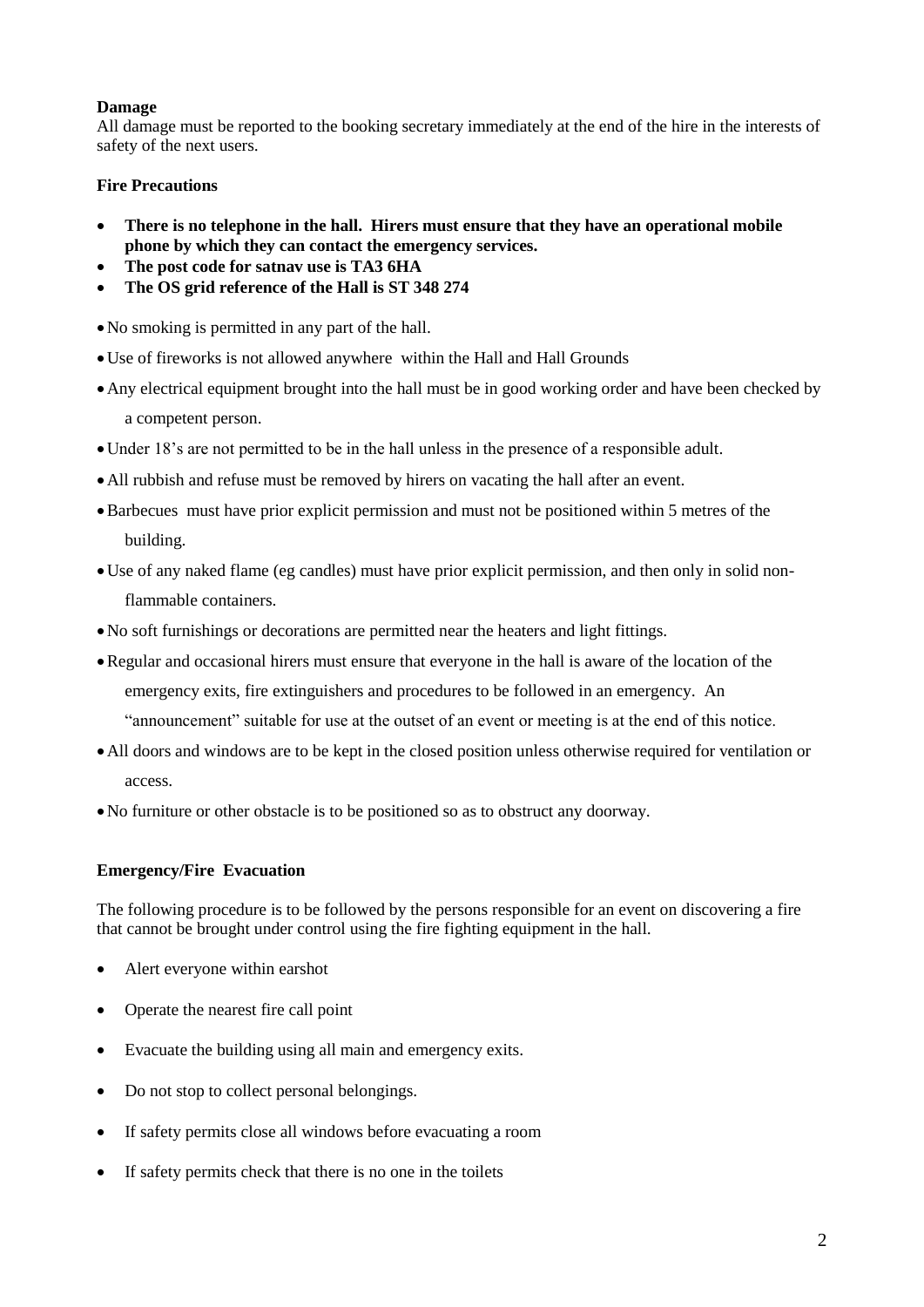# **Damage**

All damage must be reported to the booking secretary immediately at the end of the hire in the interests of safety of the next users.

# **Fire Precautions**

- **There is no telephone in the hall. Hirers must ensure that they have an operational mobile phone by which they can contact the emergency services.**
- **The post code for satnav use is TA3 6HA**
- **The OS grid reference of the Hall is ST 348 274**

No smoking is permitted in any part of the hall.

- Use of fireworks is not allowed anywhere within the Hall and Hall Grounds
- Any electrical equipment brought into the hall must be in good working order and have been checked by a competent person.
- Under 18's are not permitted to be in the hall unless in the presence of a responsible adult.
- All rubbish and refuse must be removed by hirers on vacating the hall after an event.
- Barbecues must have prior explicit permission and must not be positioned within 5 metres of the building.
- Use of any naked flame (eg candles) must have prior explicit permission, and then only in solid nonflammable containers.
- No soft furnishings or decorations are permitted near the heaters and light fittings.
- Regular and occasional hirers must ensure that everyone in the hall is aware of the location of the emergency exits, fire extinguishers and procedures to be followed in an emergency. An "announcement" suitable for use at the outset of an event or meeting is at the end of this notice.
- All doors and windows are to be kept in the closed position unless otherwise required for ventilation or access.
- No furniture or other obstacle is to be positioned so as to obstruct any doorway.

# **Emergency/Fire Evacuation**

The following procedure is to be followed by the persons responsible for an event on discovering a fire that cannot be brought under control using the fire fighting equipment in the hall.

- Alert everyone within earshot
- Operate the nearest fire call point
- Evacuate the building using all main and emergency exits.
- Do not stop to collect personal belongings.
- If safety permits close all windows before evacuating a room
- If safety permits check that there is no one in the toilets